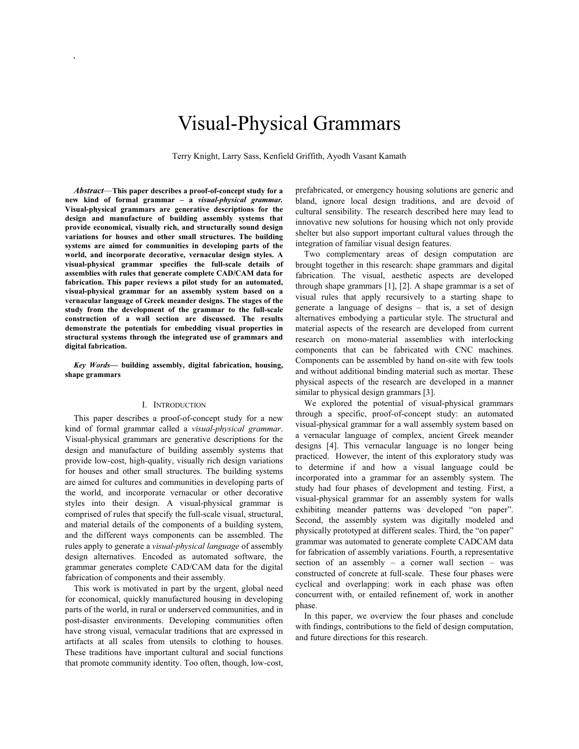# Visual-Physical Grammars

Terry Knight, Larry Sass, Kenfield Griffith, Ayodh Vasant Kamath

 *Abstract*—**This paper describes a proof-of-concept study for a new kind of formal grammar – a** *visual-physical grammar.*  **Visual-physical grammars are generative descriptions for the design and manufacture of building assembly systems that provide economical, visually rich, and structurally sound design variations for houses and other small structures. The building systems are aimed for communities in developing parts of the world, and incorporate decorative, vernacular design styles. A visual-physical grammar specifies the full-scale details of assemblies with rules that generate complete CAD/CAM data for fabrication. This paper reviews a pilot study for an automated, visual-physical grammar for an assembly system based on a vernacular language of Greek meander designs. The stages of the study from the development of the grammar to the full-scale construction of a wall section are discussed. The results demonstrate the potentials for embedding visual properties in structural systems through the integrated use of grammars and digital fabrication.**

*.*

*Key Words***— building assembly, digital fabrication, housing, shape grammars** 

#### I. INTRODUCTION

This paper describes a proof-of-concept study for a new kind of formal grammar called a *visual-physical grammar*. Visual-physical grammars are generative descriptions for the design and manufacture of building assembly systems that provide low-cost, high-quality, visually rich design variations for houses and other small structures. The building systems are aimed for cultures and communities in developing parts of the world, and incorporate vernacular or other decorative styles into their design. A visual-physical grammar is comprised of rules that specify the full-scale visual, structural, and material details of the components of a building system, and the different ways components can be assembled. The rules apply to generate a *visual-physical language* of assembly design alternatives. Encoded as automated software, the grammar generates complete CAD/CAM data for the digital fabrication of components and their assembly.

This work is motivated in part by the urgent, global need for economical, quickly manufactured housing in developing parts of the world, in rural or underserved communities, and in post-disaster environments. Developing communities often have strong visual, vernacular traditions that are expressed in artifacts at all scales from utensils to clothing to houses. These traditions have important cultural and social functions that promote community identity. Too often, though, low-cost, prefabricated, or emergency housing solutions are generic and bland, ignore local design traditions, and are devoid of cultural sensibility. The research described here may lead to innovative new solutions for housing which not only provide shelter but also support important cultural values through the integration of familiar visual design features.

Two complementary areas of design computation are brought together in this research: shape grammars and digital fabrication. The visual, aesthetic aspects are developed through shape grammars [1], [2]. A shape grammar is a set of visual rules that apply recursively to a starting shape to generate a language of designs – that is, a set of design alternatives embodying a particular style. The structural and material aspects of the research are developed from current research on mono-material assemblies with interlocking components that can be fabricated with CNC machines. Components can be assembled by hand on-site with few tools and without additional binding material such as mortar. These physical aspects of the research are developed in a manner similar to physical design grammars [3].

We explored the potential of visual-physical grammars through a specific, proof-of-concept study: an automated visual-physical grammar for a wall assembly system based on a vernacular language of complex, ancient Greek meander designs [4]. This vernacular language is no longer being practiced. However, the intent of this exploratory study was to determine if and how a visual language could be incorporated into a grammar for an assembly system. The study had four phases of development and testing. First, a visual-physical grammar for an assembly system for walls exhibiting meander patterns was developed "on paper". Second, the assembly system was digitally modeled and physically prototyped at different scales. Third, the "on paper" grammar was automated to generate complete CADCAM data for fabrication of assembly variations. Fourth, a representative section of an assembly – a corner wall section – was constructed of concrete at full-scale. These four phases were cyclical and overlapping: work in each phase was often concurrent with, or entailed refinement of, work in another phase.

In this paper, we overview the four phases and conclude with findings, contributions to the field of design computation, and future directions for this research.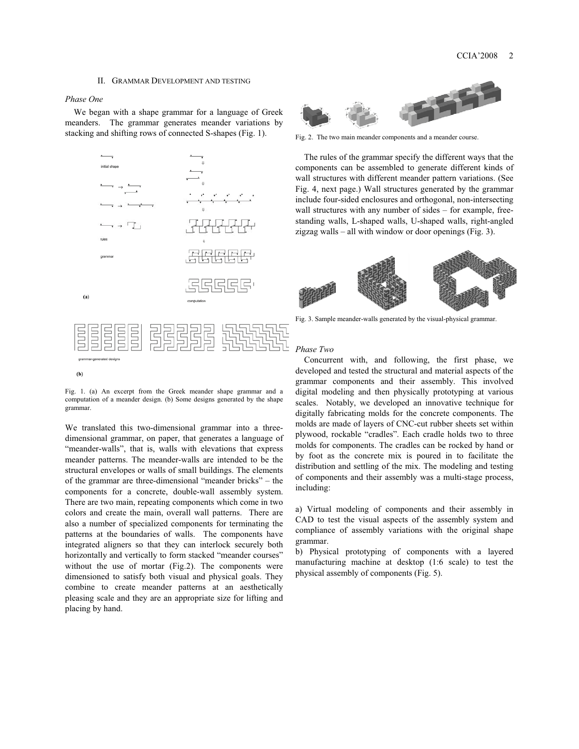#### II. GRAMMAR DEVELOPMENT AND TESTING

#### *Phase One*

We began with a shape grammar for a language of Greek meanders. The grammar generates meander variations by stacking and shifting rows of connected S-shapes (Fig. 1).



Fig. 1. (a) An excerpt from the Greek meander shape grammar and a computation of a meander design. (b) Some designs generated by the shape grammar.

We translated this two-dimensional grammar into a threedimensional grammar, on paper, that generates a language of "meander-walls", that is, walls with elevations that express meander patterns. The meander-walls are intended to be the structural envelopes or walls of small buildings. The elements of the grammar are three-dimensional "meander bricks" – the components for a concrete, double-wall assembly system. There are two main, repeating components which come in two colors and create the main, overall wall patterns. There are also a number of specialized components for terminating the patterns at the boundaries of walls. The components have integrated aligners so that they can interlock securely both horizontally and vertically to form stacked "meander courses" without the use of mortar (Fig.2). The components were dimensioned to satisfy both visual and physical goals. They combine to create meander patterns at an aesthetically pleasing scale and they are an appropriate size for lifting and placing by hand.



Fig. 2. The two main meander components and a meander course.

The rules of the grammar specify the different ways that the components can be assembled to generate different kinds of wall structures with different meander pattern variations. (See Fig. 4, next page.) Wall structures generated by the grammar include four-sided enclosures and orthogonal, non-intersecting wall structures with any number of sides – for example, freestanding walls, L-shaped walls, U-shaped walls, right-angled zigzag walls – all with window or door openings (Fig. 3).



Fig. 3. Sample meander-walls generated by the visual-physical grammar.

### *Phase Two*

Concurrent with, and following, the first phase, we developed and tested the structural and material aspects of the grammar components and their assembly. This involved digital modeling and then physically prototyping at various scales. Notably, we developed an innovative technique for digitally fabricating molds for the concrete components. The molds are made of layers of CNC-cut rubber sheets set within plywood, rockable "cradles". Each cradle holds two to three molds for components. The cradles can be rocked by hand or by foot as the concrete mix is poured in to facilitate the distribution and settling of the mix. The modeling and testing of components and their assembly was a multi-stage process, including:

a) Virtual modeling of components and their assembly in CAD to test the visual aspects of the assembly system and compliance of assembly variations with the original shape grammar.

b) Physical prototyping of components with a layered manufacturing machine at desktop (1:6 scale) to test the physical assembly of components (Fig. 5).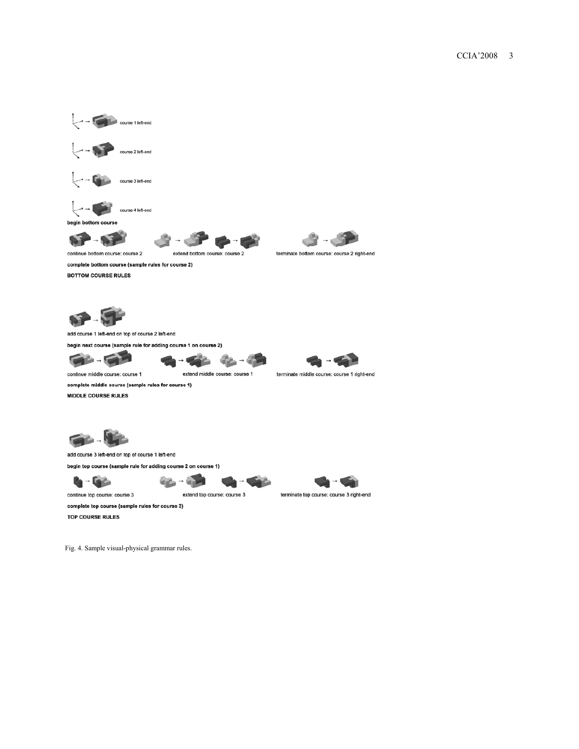

Fig. 4. Sample visual-physical grammar rules.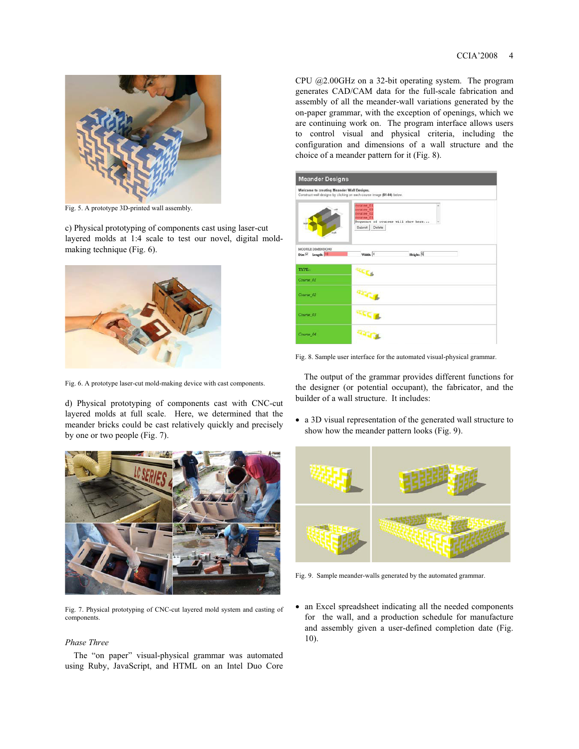

Fig. 5. A prototype 3D-printed wall assembly.

c) Physical prototyping of components cast using laser-cut layered molds at 1:4 scale to test our novel, digital moldmaking technique (Fig. 6).



Fig. 6. A prototype laser-cut mold-making device with cast components.

d) Physical prototyping of components cast with CNC-cut layered molds at full scale. Here, we determined that the meander bricks could be cast relatively quickly and precisely by one or two people (Fig. 7).



Fig. 7. Physical prototyping of CNC-cut layered mold system and casting of components.

### *Phase Three*

The "on paper" visual-physical grammar was automated using Ruby, JavaScript, and HTML on an Intel Duo Core CPU @2.00GHz on a 32-bit operating system. The program generates CAD/CAM data for the full-scale fabrication and assembly of all the meander-wall variations generated by the on-paper grammar, with the exception of openings, which we are continuing work on. The program interface allows users to control visual and physical criteria, including the configuration and dimensions of a wall structure and the choice of a meander pattern for it (Fig. 8).

| <b>Meander Designs</b>                            |                                                                                                         |
|---------------------------------------------------|---------------------------------------------------------------------------------------------------------|
| Welcome to creating Meander Wall Designs.         | Construct wall designs by clicking on each course image (01-84) below.                                  |
|                                                   | course 01<br>course 03<br>course 02<br>course 01<br>Sequence of courses will show here<br>Submit Delete |
| MODULE DIMENSIONS<br>Dim <sup>17</sup> Length: 18 | Height:<br>Width: $4$                                                                                   |
| TYPE::                                            |                                                                                                         |
| Course_01                                         |                                                                                                         |
| Course 02                                         |                                                                                                         |
| Course 03                                         |                                                                                                         |
| Course 04                                         |                                                                                                         |

Fig. 8. Sample user interface for the automated visual-physical grammar.

The output of the grammar provides different functions for the designer (or potential occupant), the fabricator, and the builder of a wall structure. It includes:

 a 3D visual representation of the generated wall structure to show how the meander pattern looks (Fig. 9).



Fig. 9. Sample meander-walls generated by the automated grammar.

• an Excel spreadsheet indicating all the needed components for the wall, and a production schedule for manufacture and assembly given a user-defined completion date (Fig. 10).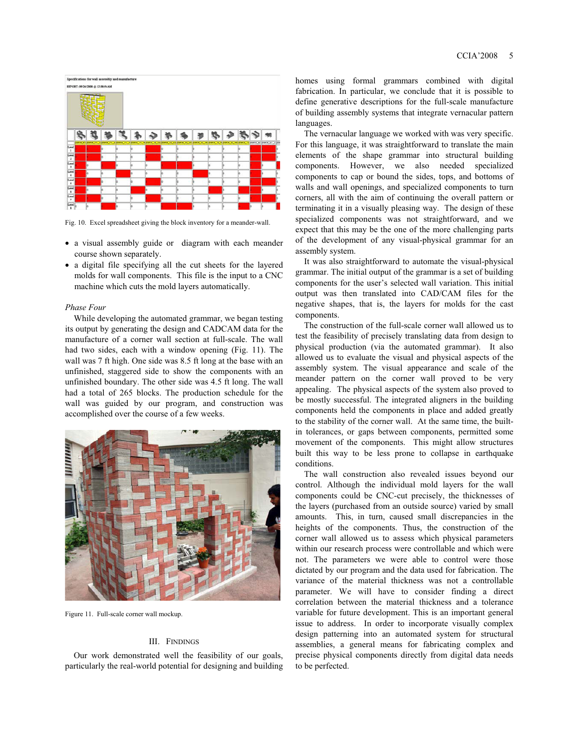

Fig. 10. Excel spreadsheet giving the block inventory for a meander-wall.

- a visual assembly guide or diagram with each meander course shown separately.
- a digital file specifying all the cut sheets for the layered molds for wall components. This file is the input to a CNC machine which cuts the mold layers automatically.

#### *Phase Four*

While developing the automated grammar, we began testing its output by generating the design and CADCAM data for the manufacture of a corner wall section at full-scale. The wall had two sides, each with a window opening (Fig. 11). The wall was 7 ft high. One side was 8.5 ft long at the base with an unfinished, staggered side to show the components with an unfinished boundary. The other side was 4.5 ft long. The wall had a total of 265 blocks. The production schedule for the wall was guided by our program, and construction was accomplished over the course of a few weeks.



Figure 11. Full-scale corner wall mockup.

#### III. FINDINGS

Our work demonstrated well the feasibility of our goals, particularly the real-world potential for designing and building homes using formal grammars combined with digital fabrication. In particular, we conclude that it is possible to define generative descriptions for the full-scale manufacture of building assembly systems that integrate vernacular pattern languages.

The vernacular language we worked with was very specific. For this language, it was straightforward to translate the main elements of the shape grammar into structural building components. However, we also needed specialized components to cap or bound the sides, tops, and bottoms of walls and wall openings, and specialized components to turn corners, all with the aim of continuing the overall pattern or terminating it in a visually pleasing way. The design of these specialized components was not straightforward, and we expect that this may be the one of the more challenging parts of the development of any visual-physical grammar for an assembly system.

It was also straightforward to automate the visual-physical grammar. The initial output of the grammar is a set of building components for the user's selected wall variation. This initial output was then translated into CAD/CAM files for the negative shapes, that is, the layers for molds for the cast components.

The construction of the full-scale corner wall allowed us to test the feasibility of precisely translating data from design to physical production (via the automated grammar). It also allowed us to evaluate the visual and physical aspects of the assembly system. The visual appearance and scale of the meander pattern on the corner wall proved to be very appealing. The physical aspects of the system also proved to be mostly successful. The integrated aligners in the building components held the components in place and added greatly to the stability of the corner wall. At the same time, the builtin tolerances, or gaps between components, permitted some movement of the components. This might allow structures built this way to be less prone to collapse in earthquake conditions.

The wall construction also revealed issues beyond our control. Although the individual mold layers for the wall components could be CNC-cut precisely, the thicknesses of the layers (purchased from an outside source) varied by small amounts. This, in turn, caused small discrepancies in the heights of the components. Thus, the construction of the corner wall allowed us to assess which physical parameters within our research process were controllable and which were not. The parameters we were able to control were those dictated by our program and the data used for fabrication. The variance of the material thickness was not a controllable parameter. We will have to consider finding a direct correlation between the material thickness and a tolerance variable for future development. This is an important general issue to address. In order to incorporate visually complex design patterning into an automated system for structural assemblies, a general means for fabricating complex and precise physical components directly from digital data needs to be perfected.